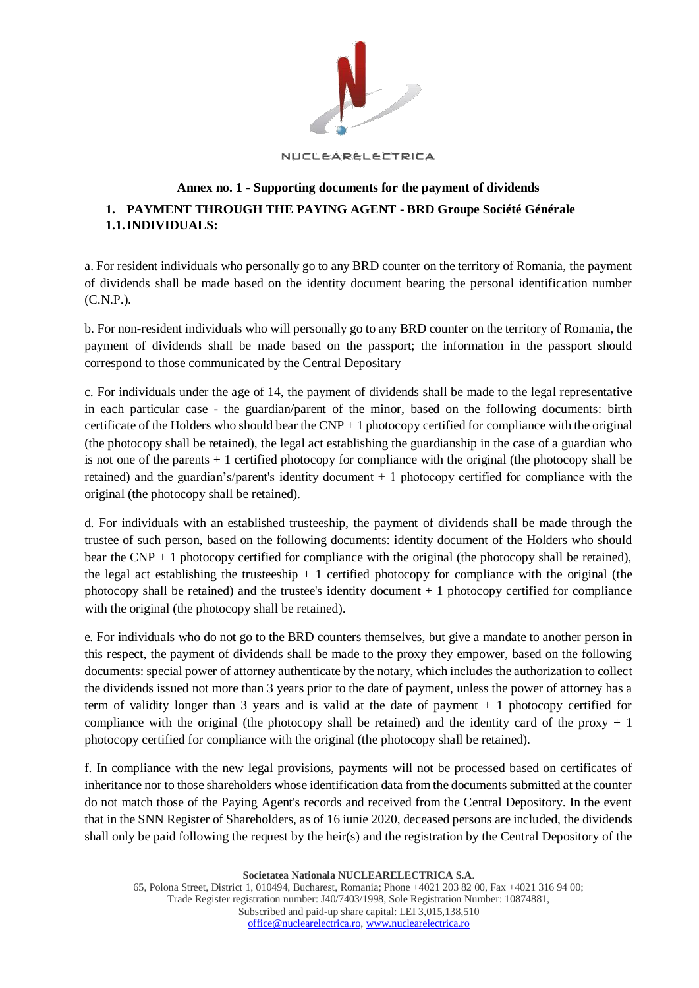

## NUCLEARELECTRICA

## **Annex no. 1 - Supporting documents for the payment of dividends 1. PAYMENT THROUGH THE PAYING AGENT - BRD Groupe Société Générale 1.1.INDIVIDUALS:**

a. For resident individuals who personally go to any BRD counter on the territory of Romania, the payment of dividends shall be made based on the identity document bearing the personal identification number (C.N.P.).

b. For non-resident individuals who will personally go to any BRD counter on the territory of Romania, the payment of dividends shall be made based on the passport; the information in the passport should correspond to those communicated by the Central Depositary

c. For individuals under the age of 14, the payment of dividends shall be made to the legal representative in each particular case - the guardian/parent of the minor, based on the following documents: birth certificate of the Holders who should bear the  $CNP + 1$  photocopy certified for compliance with the original (the photocopy shall be retained), the legal act establishing the guardianship in the case of a guardian who is not one of the parents + 1 certified photocopy for compliance with the original (the photocopy shall be retained) and the guardian's/parent's identity document + 1 photocopy certified for compliance with the original (the photocopy shall be retained).

d. For individuals with an established trusteeship, the payment of dividends shall be made through the trustee of such person, based on the following documents: identity document of the Holders who should bear the CNP  $+$  1 photocopy certified for compliance with the original (the photocopy shall be retained), the legal act establishing the trusteeship  $+1$  certified photocopy for compliance with the original (the photocopy shall be retained) and the trustee's identity document  $+1$  photocopy certified for compliance with the original (the photocopy shall be retained).

e. For individuals who do not go to the BRD counters themselves, but give a mandate to another person in this respect, the payment of dividends shall be made to the proxy they empower, based on the following documents: special power of attorney authenticate by the notary, which includes the authorization to collect the dividends issued not more than 3 years prior to the date of payment, unless the power of attorney has a term of validity longer than 3 years and is valid at the date of payment + 1 photocopy certified for compliance with the original (the photocopy shall be retained) and the identity card of the proxy  $+1$ photocopy certified for compliance with the original (the photocopy shall be retained).

f. In compliance with the new legal provisions, payments will not be processed based on certificates of inheritance nor to those shareholders whose identification data from the documents submitted at the counter do not match those of the Paying Agent's records and received from the Central Depository. In the event that in the SNN Register of Shareholders, as of 16 iunie 2020, deceased persons are included, the dividends shall only be paid following the request by the heir(s) and the registration by the Central Depository of the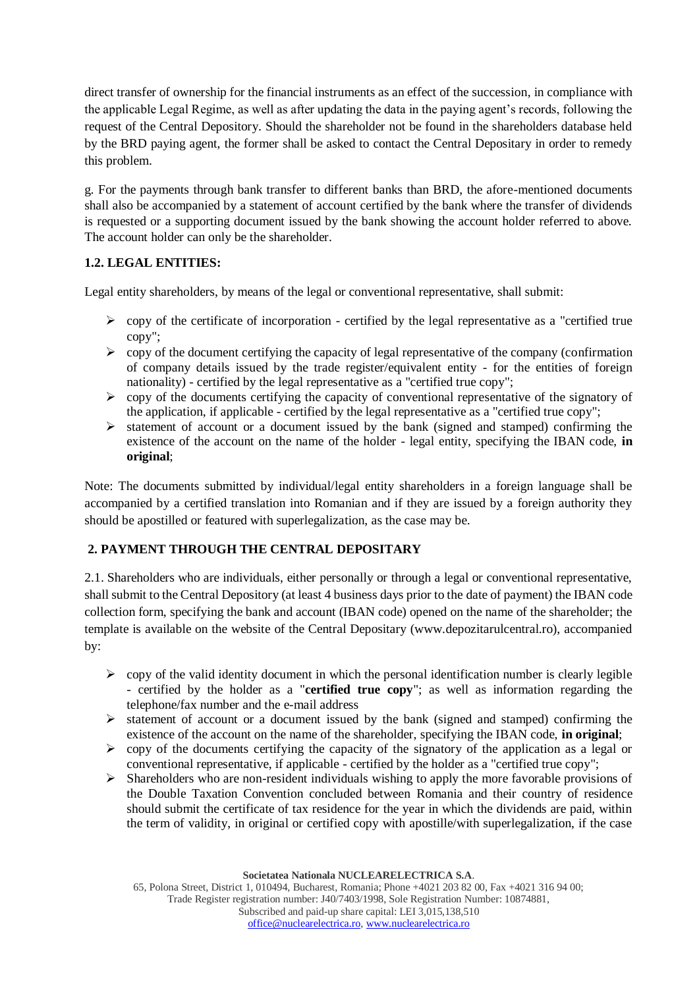direct transfer of ownership for the financial instruments as an effect of the succession, in compliance with the applicable Legal Regime, as well as after updating the data in the paying agent's records, following the request of the Central Depository. Should the shareholder not be found in the shareholders database held by the BRD paying agent, the former shall be asked to contact the Central Depositary in order to remedy this problem.

g. For the payments through bank transfer to different banks than BRD, the afore-mentioned documents shall also be accompanied by a statement of account certified by the bank where the transfer of dividends is requested or a supporting document issued by the bank showing the account holder referred to above. The account holder can only be the shareholder.

## **1.2. LEGAL ENTITIES:**

Legal entity shareholders, by means of the legal or conventional representative, shall submit:

- $\triangleright$  copy of the certificate of incorporation certified by the legal representative as a "certified true" copy";
- $\triangleright$  copy of the document certifying the capacity of legal representative of the company (confirmation of company details issued by the trade register/equivalent entity - for the entities of foreign nationality) - certified by the legal representative as a "certified true copy";
- $\triangleright$  copy of the documents certifying the capacity of conventional representative of the signatory of the application, if applicable - certified by the legal representative as a "certified true copy";
- ➢ statement of account or a document issued by the bank (signed and stamped) confirming the existence of the account on the name of the holder - legal entity, specifying the IBAN code, **in original**;

Note: The documents submitted by individual/legal entity shareholders in a foreign language shall be accompanied by a certified translation into Romanian and if they are issued by a foreign authority they should be apostilled or featured with superlegalization, as the case may be.

## **2. PAYMENT THROUGH THE CENTRAL DEPOSITARY**

2.1. Shareholders who are individuals, either personally or through a legal or conventional representative, shall submit to the Central Depository (at least 4 business days prior to the date of payment) the IBAN code collection form, specifying the bank and account (IBAN code) opened on the name of the shareholder; the template is available on the website of the Central Depositary (www.depozitarulcentral.ro), accompanied by:

- $\geq$  copy of the valid identity document in which the personal identification number is clearly legible - certified by the holder as a "**certified true copy**"; as well as information regarding the telephone/fax number and the e-mail address
- $\triangleright$  statement of account or a document issued by the bank (signed and stamped) confirming the existence of the account on the name of the shareholder, specifying the IBAN code, **in original**;
- $\triangleright$  copy of the documents certifying the capacity of the signatory of the application as a legal or conventional representative, if applicable - certified by the holder as a "certified true copy";
- $\triangleright$  Shareholders who are non-resident individuals wishing to apply the more favorable provisions of the Double Taxation Convention concluded between Romania and their country of residence should submit the certificate of tax residence for the year in which the dividends are paid, within the term of validity, in original or certified copy with apostille/with superlegalization, if the case

**Societatea Nationala NUCLEARELECTRICA S.A**.

65, Polona Street, District 1, 010494, Bucharest, Romania; Phone +4021 203 82 00, Fax +4021 316 94 00; Trade Register registration number: J40/7403/1998, Sole Registration Number: 10874881, Subscribed and paid-up share capital: LEI 3,015,138,510 [office@nuclearelectrica.ro,](mailto:office@nuclearelectrica.ro) [www.nuclearelectrica.ro](http://www.nuclearelectrica.ro/)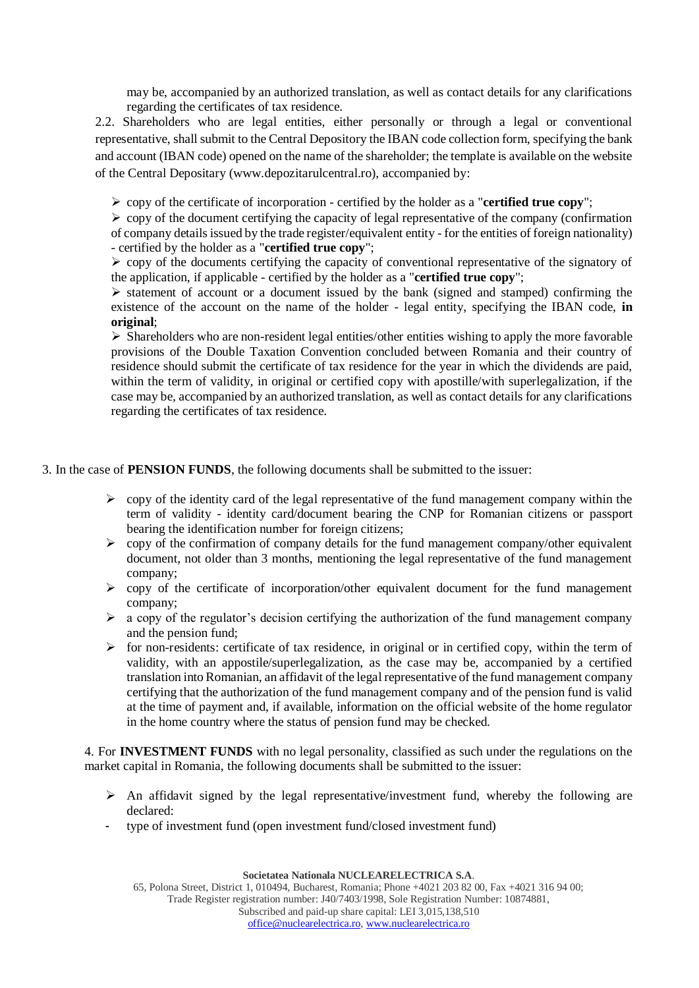may be, accompanied by an authorized translation, as well as contact details for any clarifications regarding the certificates of tax residence.

2.2. Shareholders who are legal entities, either personally or through a legal or conventional representative, shall submit to the Central Depository the IBAN code collection form, specifying the bank and account (IBAN code) opened on the name of the shareholder; the template is available on the website of the Central Depositary (www.depozitarulcentral.ro), accompanied by:

➢ copy of the certificate of incorporation - certified by the holder as a "**certified true copy**";

 $\triangleright$  copy of the document certifying the capacity of legal representative of the company (confirmation of company details issued by the trade register/equivalent entity - for the entities of foreign nationality) - certified by the holder as a "**certified true copy**";

 $\triangleright$  copy of the documents certifying the capacity of conventional representative of the signatory of the application, if applicable - certified by the holder as a "**certified true copy**";

 $\triangleright$  statement of account or a document issued by the bank (signed and stamped) confirming the existence of the account on the name of the holder - legal entity, specifying the IBAN code, **in original**;

➢ Shareholders who are non-resident legal entities/other entities wishing to apply the more favorable provisions of the Double Taxation Convention concluded between Romania and their country of residence should submit the certificate of tax residence for the year in which the dividends are paid, within the term of validity, in original or certified copy with apostille/with superlegalization, if the case may be, accompanied by an authorized translation, as well as contact details for any clarifications regarding the certificates of tax residence.

3. In the case of **PENSION FUNDS**, the following documents shall be submitted to the issuer:

- ➢ copy of the identity card of the legal representative of the fund management company within the term of validity - identity card/document bearing the CNP for Romanian citizens or passport bearing the identification number for foreign citizens;
- ➢ copy of the confirmation of company details for the fund management company/other equivalent document, not older than 3 months, mentioning the legal representative of the fund management company;
- $\triangleright$  copy of the certificate of incorporation/other equivalent document for the fund management company;
- $\triangleright$  a copy of the regulator's decision certifying the authorization of the fund management company and the pension fund;
- ➢ for non-residents: certificate of tax residence, in original or in certified copy, within the term of validity, with an appostile/superlegalization, as the case may be, accompanied by a certified translation into Romanian, an affidavit of the legal representative of the fund management company certifying that the authorization of the fund management company and of the pension fund is valid at the time of payment and, if available, information on the official website of the home regulator in the home country where the status of pension fund may be checked.

4. For **INVESTMENT FUNDS** with no legal personality, classified as such under the regulations on the market capital in Romania, the following documents shall be submitted to the issuer:

- $\triangleright$  An affidavit signed by the legal representative/investment fund, whereby the following are declared:
- type of investment fund (open investment fund/closed investment fund)

**Societatea Nationala NUCLEARELECTRICA S.A**.

65, Polona Street, District 1, 010494, Bucharest, Romania; Phone +4021 203 82 00, Fax +4021 316 94 00; Trade Register registration number: J40/7403/1998, Sole Registration Number: 10874881, Subscribed and paid-up share capital: LEI 3,015,138,510 [office@nuclearelectrica.ro,](mailto:office@nuclearelectrica.ro) [www.nuclearelectrica.ro](http://www.nuclearelectrica.ro/)